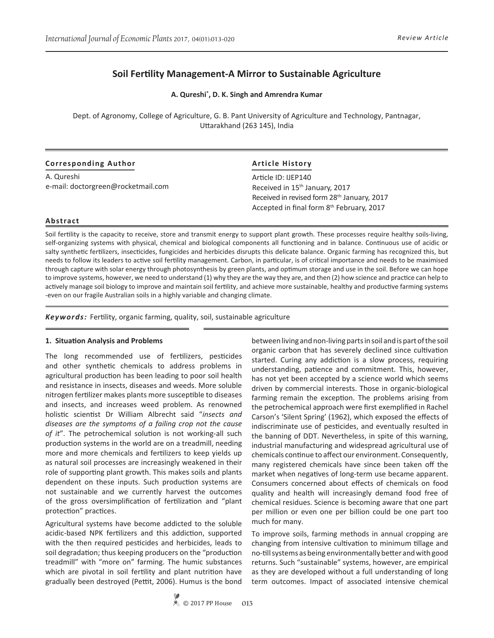# **Soil Fertility Management-A Mirror to Sustainable Agriculture**

**A. Qureshi\* , D. K. Singh and Amrendra Kumar**

Dept. of Agronomy, College of Agriculture, G. B. Pant University of Agriculture and Technology, Pantnagar, Uttarakhand (263 145), India

| <b>Corresponding Author</b>        | <b>Article History</b>                                                                   |
|------------------------------------|------------------------------------------------------------------------------------------|
| A. Qureshi                         | Article ID: IJEP140                                                                      |
| e-mail: doctorgreen@rocketmail.com | Received in 15 <sup>th</sup> January, 2017                                               |
|                                    | Received in revised form 28th January, 2017<br>Accepted in final form 8th February, 2017 |

#### **Abstract**

Soil fertility is the capacity to receive, store and transmit energy to support plant growth. These processes require healthy soils-living, self-organizing systems with physical, chemical and biological components all functioning and in balance. Continuous use of acidic or salty synthetic fertilizers, insecticides, fungicides and herbicides disrupts this delicate balance. Organic farming has recognized this, but needs to follow its leaders to active soil fertility management. Carbon, in particular, is of critical importance and needs to be maximised through capture with solar energy through photosynthesis by green plants, and optimum storage and use in the soil. Before we can hope to improve systems, however, we need to understand (1) why they are the way they are, and then (2) how science and practice can help to actively manage soil biology to improve and maintain soil fertility, and achieve more sustainable, healthy and productive farming systems -even on our fragile Australian soils in a highly variable and changing climate.

*Keywords:* Fertility, organic farming, quality, soil, sustainable agriculture

#### **1. Situation Analysis and Problems**

The long recommended use of fertilizers, pesticides and other synthetic chemicals to address problems in agricultural production has been leading to poor soil health and resistance in insects, diseases and weeds. More soluble nitrogen fertilizer makes plants more susceptible to diseases and insects, and increases weed problem. As renowned holistic scientist Dr William Albrecht said "*insects and diseases are the symptoms of a failing crop not the cause of it*". The petrochemical solution is not working-all such production systems in the world are on a treadmill, needing more and more chemicals and fertilizers to keep yields up as natural soil processes are increasingly weakened in their role of supporting plant growth. This makes soils and plants dependent on these inputs. Such production systems are not sustainable and we currently harvest the outcomes of the gross oversimplification of fertilization and "plant protection" practices.

Agricultural systems have become addicted to the soluble acidic-based NPK fertilizers and this addiction, supported with the then required pesticides and herbicides, leads to soil degradation; thus keeping producers on the "production treadmill" with "more on" farming. The humic substances which are pivotal in soil fertility and plant nutrition have gradually been destroyed (Pettit, 2006). Humus is the bond

between living and non-living parts in soil and is part of the soil organic carbon that has severely declined since cultivation started. Curing any addiction is a slow process, requiring understanding, patience and commitment. This, however, has not yet been accepted by a science world which seems driven by commercial interests. Those in organic-biological farming remain the exception. The problems arising from the petrochemical approach were first exemplified in Rachel Carson's 'Silent Spring' (1962), which exposed the effects of indiscriminate use of pesticides, and eventually resulted in the banning of DDT. Nevertheless, in spite of this warning, industrial manufacturing and widespread agricultural use of chemicals continue to affect our environment. Consequently, many registered chemicals have since been taken off the market when negatives of long-term use became apparent. Consumers concerned about effects of chemicals on food quality and health will increasingly demand food free of chemical residues. Science is becoming aware that one part per million or even one per billion could be one part too much for many.

To improve soils, farming methods in annual cropping are changing from intensive cultivation to minimum tillage and no-till systems as being environmentally better and with good returns. Such "sustainable" systems, however, are empirical as they are developed without a full understanding of long term outcomes. Impact of associated intensive chemical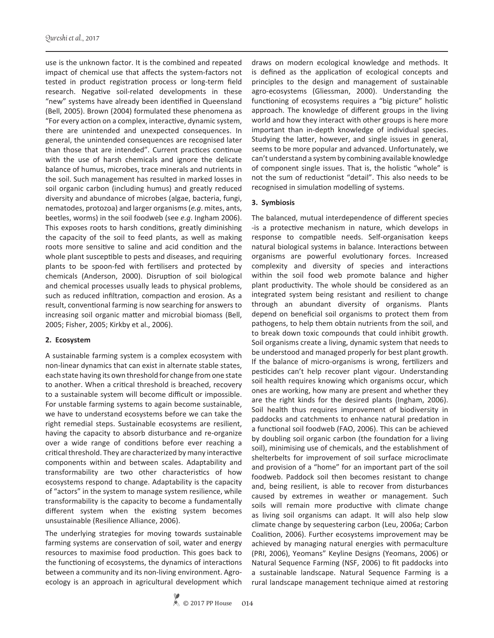use is the unknown factor. It is the combined and repeated impact of chemical use that affects the system-factors not tested in product registration process or long-term field research. Negative soil-related developments in these "new" systems have already been identified in Queensland (Bell, 2005). Brown (2004) formulated these phenomena as "For every action on a complex, interactive, dynamic system, there are unintended and unexpected consequences. In general, the unintended consequences are recognised later than those that are intended". Current practices continue with the use of harsh chemicals and ignore the delicate balance of humus, microbes, trace minerals and nutrients in the soil. Such management has resulted in marked losses in soil organic carbon (including humus) and greatly reduced diversity and abundance of microbes (algae, bacteria, fungi, nematodes, protozoa) and larger organisms (*e.g*. mites, ants, beetles, worms) in the soil foodweb (see *e.g*. Ingham 2006). This exposes roots to harsh conditions, greatly diminishing the capacity of the soil to feed plants, as well as making roots more sensitive to saline and acid condition and the whole plant susceptible to pests and diseases, and requiring plants to be spoon-fed with fertilisers and protected by chemicals (Anderson, 2000). Disruption of soil biological and chemical processes usually leads to physical problems, such as reduced infiltration, compaction and erosion. As a result, conventional farming is now searching for answers to increasing soil organic matter and microbial biomass (Bell, 2005; Fisher, 2005; Kirkby et al., 2006).

## **2. Ecosystem**

A sustainable farming system is a complex ecosystem with non-linear dynamics that can exist in alternate stable states, each state having its own threshold for change from one state to another. When a critical threshold is breached, recovery to a sustainable system will become difficult or impossible. For unstable farming systems to again become sustainable, we have to understand ecosystems before we can take the right remedial steps. Sustainable ecosystems are resilient, having the capacity to absorb disturbance and re-organize over a wide range of conditions before ever reaching a critical threshold. They are characterized by many interactive components within and between scales. Adaptability and transformability are two other characteristics of how ecosystems respond to change. Adaptability is the capacity of "actors" in the system to manage system resilience, while transformability is the capacity to become a fundamentally different system when the existing system becomes unsustainable (Resilience Alliance, 2006).

The underlying strategies for moving towards sustainable farming systems are conservation of soil, water and energy resources to maximise food production. This goes back to the functioning of ecosystems, the dynamics of interactions between a community and its non-living environment. Agroecology is an approach in agricultural development which draws on modern ecological knowledge and methods. It is defined as the application of ecological concepts and principles to the design and management of sustainable agro-ecosystems (Gliessman, 2000). Understanding the functioning of ecosystems requires a "big picture" holistic approach. The knowledge of different groups in the living world and how they interact with other groups is here more important than in-depth knowledge of individual species. Studying the latter, however, and single issues in general, seems to be more popular and advanced. Unfortunately, we can't understand a system by combining available knowledge of component single issues. That is, the holistic "whole" is not the sum of reductionist "detail". This also needs to be recognised in simulation modelling of systems.

## **3. Symbiosis**

The balanced, mutual interdependence of different species -is a protective mechanism in nature, which develops in response to compatible needs. Self-organisation keeps natural biological systems in balance. Interactions between organisms are powerful evolutionary forces. Increased complexity and diversity of species and interactions within the soil food web promote balance and higher plant productivity. The whole should be considered as an integrated system being resistant and resilient to change through an abundant diversity of organisms. Plants depend on beneficial soil organisms to protect them from pathogens, to help them obtain nutrients from the soil, and to break down toxic compounds that could inhibit growth. Soil organisms create a living, dynamic system that needs to be understood and managed properly for best plant growth. If the balance of micro-organisms is wrong, fertilizers and pesticides can't help recover plant vigour. Understanding soil health requires knowing which organisms occur, which ones are working, how many are present and whether they are the right kinds for the desired plants (Ingham, 2006). Soil health thus requires improvement of biodiversity in paddocks and catchments to enhance natural predation in a functional soil foodweb (FAO, 2006). This can be achieved by doubling soil organic carbon (the foundation for a living soil), minimising use of chemicals, and the establishment of shelterbelts for improvement of soil surface microclimate and provision of a "home" for an important part of the soil foodweb. Paddock soil then becomes resistant to change and, being resilient, is able to recover from disturbances caused by extremes in weather or management. Such soils will remain more productive with climate change as living soil organisms can adapt. It will also help slow climate change by sequestering carbon (Leu, 2006a; Carbon Coalition, 2006). Further ecosystems improvement may be achieved by managing natural energies with permaculture (PRI, 2006), Yeomans" Keyline Designs (Yeomans, 2006) or Natural Sequence Farming (NSF, 2006) to fit paddocks into a sustainable landscape. Natural Sequence Farming is a rural landscape management technique aimed at restoring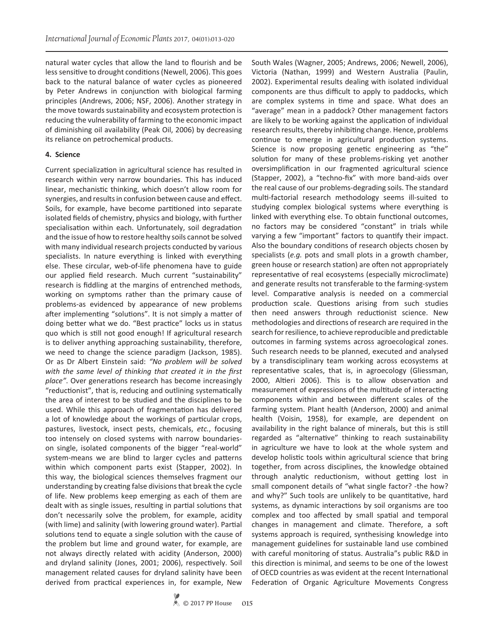natural water cycles that allow the land to flourish and be less sensitive to drought conditions (Newell, 2006). This goes back to the natural balance of water cycles as pioneered by Peter Andrews in conjunction with biological farming principles (Andrews, 2006; NSF, 2006). Another strategy in the move towards sustainability and ecosystem protection is reducing the vulnerability of farming to the economic impact of diminishing oil availability (Peak Oil, 2006) by decreasing its reliance on petrochemical products.

#### **4. Science**

Current specialization in agricultural science has resulted in research within very narrow boundaries. This has induced linear, mechanistic thinking, which doesn't allow room for synergies, and results in confusion between cause and effect. Soils, for example, have become partitioned into separate isolated fields of chemistry, physics and biology, with further specialisation within each. Unfortunately, soil degradation and the issue of how to restore healthy soils cannot be solved with many individual research projects conducted by various specialists. In nature everything is linked with everything else. These circular, web-of-life phenomena have to guide our applied field research. Much current "sustainability" research is fiddling at the margins of entrenched methods, working on symptoms rather than the primary cause of problems-as evidenced by appearance of new problems after implementing "solutions". It is not simply a matter of doing better what we do. "Best practice" locks us in status quo which is still not good enough! If agricultural research is to deliver anything approaching sustainability, therefore, we need to change the science paradigm (Jackson, 1985). Or as Dr Albert Einstein said: *"No problem will be solved with the same level of thinking that created it in the first place"*. Over generations research has become increasingly "reductionist", that is, reducing and outlining systematically the area of interest to be studied and the disciplines to be used. While this approach of fragmentation has delivered a lot of knowledge about the workings of particular crops, pastures, livestock, insect pests, chemicals, *etc.*, focusing too intensely on closed systems with narrow boundarieson single, isolated components of the bigger "real-world" system-means we are blind to larger cycles and patterns within which component parts exist (Stapper, 2002). In this way, the biological sciences themselves fragment our understanding by creating false divisions that break the cycle of life. New problems keep emerging as each of them are dealt with as single issues, resulting in partial solutions that don't necessarily solve the problem, for example, acidity (with lime) and salinity (with lowering ground water). Partial solutions tend to equate a single solution with the cause of the problem but lime and ground water, for example, are not always directly related with acidity (Anderson, 2000) and dryland salinity (Jones, 2001; 2006), respectively. Soil management related causes for dryland salinity have been derived from practical experiences in, for example, New

South Wales (Wagner, 2005; Andrews, 2006; Newell, 2006), Victoria (Nathan, 1999) and Western Australia (Paulin, 2002). Experimental results dealing with isolated individual components are thus difficult to apply to paddocks, which are complex systems in time and space. What does an "average" mean in a paddock? Other management factors are likely to be working against the application of individual research results, thereby inhibiting change. Hence, problems continue to emerge in agricultural production systems. Science is now proposing genetic engineering as "the" solution for many of these problems-risking yet another oversimplification in our fragmented agricultural science (Stapper, 2002), a "techno-fix" with more band-aids over the real cause of our problems-degrading soils. The standard multi-factorial research methodology seems ill-suited to studying complex biological systems where everything is linked with everything else. To obtain functional outcomes, no factors may be considered "constant" in trials while varying a few "important" factors to quantify their impact. Also the boundary conditions of research objects chosen by specialists (*e.g.* pots and small plots in a growth chamber, green house or research station) are often not appropriately representative of real ecosystems (especially microclimate) and generate results not transferable to the farming-system level. Comparative analysis is needed on a commercial production scale. Questions arising from such studies then need answers through reductionist science. New methodologies and directions of research are required in the search for resilience, to achieve reproducible and predictable outcomes in farming systems across agroecological zones. Such research needs to be planned, executed and analysed by a transdisciplinary team working across ecosystems at representative scales, that is, in agroecology (Gliessman, 2000, Altieri 2006). This is to allow observation and measurement of expressions of the multitude of interacting components within and between different scales of the farming system. Plant health (Anderson, 2000) and animal health (Voisin, 1958), for example, are dependent on availability in the right balance of minerals, but this is still regarded as "alternative" thinking to reach sustainability in agriculture we have to look at the whole system and develop holistic tools within agricultural science that bring together, from across disciplines, the knowledge obtained through analytic reductionism, without getting lost in small component details of "what single factor? -the how? and why?" Such tools are unlikely to be quantitative, hard systems, as dynamic interactions by soil organisms are too complex and too affected by small spatial and temporal changes in management and climate. Therefore, a soft systems approach is required, synthesising knowledge into management guidelines for sustainable land use combined with careful monitoring of status. Australia"s public R&D in this direction is minimal, and seems to be one of the lowest of OECD countries as was evident at the recent International Federation of Organic Agriculture Movements Congress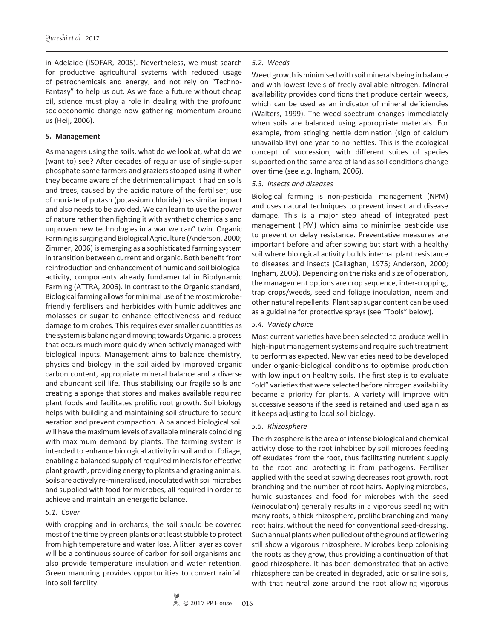in Adelaide (ISOFAR, 2005). Nevertheless, we must search for productive agricultural systems with reduced usage of petrochemicals and energy, and not rely on "Techno-Fantasy" to help us out. As we face a future without cheap oil, science must play a role in dealing with the profound socioeconomic change now gathering momentum around us (Heij, 2006).

#### **5. Management**

As managers using the soils, what do we look at, what do we (want to) see? After decades of regular use of single-super phosphate some farmers and graziers stopped using it when they became aware of the detrimental impact it had on soils and trees, caused by the acidic nature of the fertiliser; use of muriate of potash (potassium chloride) has similar impact and also needs to be avoided. We can learn to use the power of nature rather than fighting it with synthetic chemicals and unproven new technologies in a war we can" twin. Organic Farming is surging and Biological Agriculture (Anderson, 2000; Zimmer, 2006) is emerging as a sophisticated farming system in transition between current and organic. Both benefit from reintroduction and enhancement of humic and soil biological activity, components already fundamental in Biodynamic Farming (ATTRA, 2006). In contrast to the Organic standard, Biological farming allows for minimal use of the most microbefriendly fertilisers and herbicides with humic additives and molasses or sugar to enhance effectiveness and reduce damage to microbes. This requires ever smaller quantities as the system is balancing and moving towards Organic, a process that occurs much more quickly when actively managed with biological inputs. Management aims to balance chemistry, physics and biology in the soil aided by improved organic carbon content, appropriate mineral balance and a diverse and abundant soil life. Thus stabilising our fragile soils and creating a sponge that stores and makes available required plant foods and facilitates prolific root growth. Soil biology helps with building and maintaining soil structure to secure aeration and prevent compaction. A balanced biological soil will have the maximum levels of available minerals coinciding with maximum demand by plants. The farming system is intended to enhance biological activity in soil and on foliage, enabling a balanced supply of required minerals for effective plant growth, providing energy to plants and grazing animals. Soils are actively re-mineralised, inoculated with soil microbes and supplied with food for microbes, all required in order to achieve and maintain an energetic balance.

#### *5.1. Cover*

With cropping and in orchards, the soil should be covered most of the time by green plants or at least stubble to protect from high temperature and water loss. A litter layer as cover will be a continuous source of carbon for soil organisms and also provide temperature insulation and water retention. Green manuring provides opportunities to convert rainfall into soil fertility.

## *5.2. Weeds*

Weed growth is minimised with soil minerals being in balance and with lowest levels of freely available nitrogen. Mineral availability provides conditions that produce certain weeds, which can be used as an indicator of mineral deficiencies (Walters, 1999). The weed spectrum changes immediately when soils are balanced using appropriate materials. For example, from stinging nettle domination (sign of calcium unavailability) one year to no nettles. This is the ecological concept of succession, with different suites of species supported on the same area of land as soil conditions change over time (see *e.g*. Ingham, 2006).

## *5.3. Insects and diseases*

Biological farming is non-pesticidal management (NPM) and uses natural techniques to prevent insect and disease damage. This is a major step ahead of integrated pest management (IPM) which aims to minimise pesticide use to prevent or delay resistance. Preventative measures are important before and after sowing but start with a healthy soil where biological activity builds internal plant resistance to diseases and insects (Callaghan, 1975; Anderson, 2000; Ingham, 2006). Depending on the risks and size of operation, the management options are crop sequence, inter-cropping, trap crops/weeds, seed and foliage inoculation, neem and other natural repellents. Plant sap sugar content can be used as a guideline for protective sprays (see "Tools" below).

## *5.4. Variety choice*

Most current varieties have been selected to produce well in high-input management systems and require such treatment to perform as expected. New varieties need to be developed under organic-biological conditions to optimise production with low input on healthy soils. The first step is to evaluate "old" varieties that were selected before nitrogen availability became a priority for plants. A variety will improve with successive seasons if the seed is retained and used again as it keeps adjusting to local soil biology.

## *5.5. Rhizosphere*

The rhizosphere is the area of intense biological and chemical activity close to the root inhabited by soil microbes feeding off exudates from the root, thus facilitating nutrient supply to the root and protecting it from pathogens. Fertiliser applied with the seed at sowing decreases root growth, root branching and the number of root hairs. Applying microbes, humic substances and food for microbes with the seed (*ie*inoculation) generally results in a vigorous seedling with many roots, a thick rhizosphere, prolific branching and many root hairs, without the need for conventional seed-dressing. Such annual plants when pulled out of the ground at flowering still show a vigorous rhizosphere. Microbes keep colonising the roots as they grow, thus providing a continuation of that good rhizosphere. It has been demonstrated that an active rhizosphere can be created in degraded, acid or saline soils, with that neutral zone around the root allowing vigorous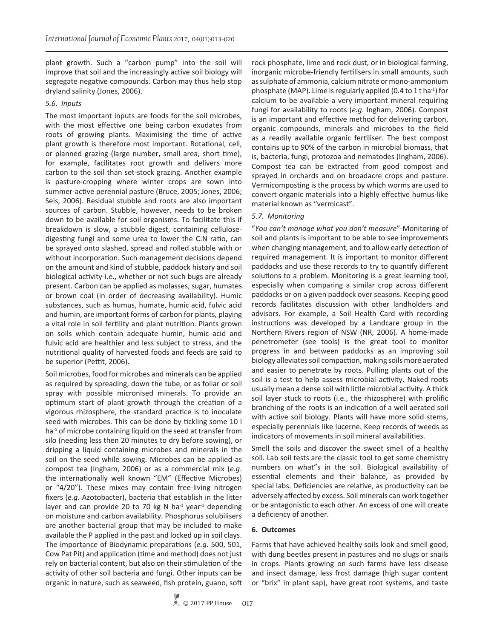plant growth. Such a "carbon pump" into the soil will improve that soil and the increasingly active soil biology will segregate negative compounds. Carbon may thus help stop dryland salinity (Jones, 2006).

## *5.6. Inputs*

The most important inputs are foods for the soil microbes, with the most effective one being carbon exudates from roots of growing plants. Maximising the time of active plant growth is therefore most important. Rotational, cell, or planned grazing (large number, small area, short time), for example, facilitates root growth and delivers more carbon to the soil than set-stock grazing. Another example is pasture-cropping where winter crops are sown into summer-active perennial pasture (Bruce, 2005; Jones, 2006; Seis, 2006). Residual stubble and roots are also important sources of carbon. Stubble, however, needs to be broken down to be available for soil organisms. To facilitate this if breakdown is slow, a stubble digest, containing cellulosedigesting fungi and some urea to lower the C:N ratio, can be sprayed onto slashed, spread and rolled stubble with or without incorporation. Such management decisions depend on the amount and kind of stubble, paddock history and soil biological activity-i.e., whether or not such bugs are already present. Carbon can be applied as molasses, sugar, humates or brown coal (in order of decreasing availability). Humic substances, such as humus, humate, humic acid, fulvic acid and humin, are important forms of carbon for plants, playing a vital role in soil fertility and plant nutrition. Plants grown on soils which contain adequate humin, humic acid and fulvic acid are healthier and less subject to stress, and the nutritional quality of harvested foods and feeds are said to be superior (Pettit, 2006).

Soil microbes, food for microbes and minerals can be applied as required by spreading, down the tube, or as foliar or soil spray with possible micronised minerals. To provide an optimum start of plant growth through the creation of a vigorous rhizosphere, the standard practice is to inoculate seed with microbes. This can be done by tickling some 10 l ha<sup>-1</sup> of microbe containing liquid on the seed at transfer from silo (needing less then 20 minutes to dry before sowing), or dripping a liquid containing microbes and minerals in the soil on the seed while sowing. Microbes can be applied as compost tea (Ingham, 2006) or as a commercial mix (*e.g*. the internationally well known "EM" (Effective Microbes) or "4/20"). These mixes may contain free-living nitrogen fixers (*e.g*. Azotobacter), bacteria that establish in the litter layer and can provide 20 to 70 kg N ha $^{-1}$  year<sup>1</sup> depending on moisture and carbon availability. Phosphorus solubilisers are another bacterial group that may be included to make available the P applied in the past and locked up in soil clays. The importance of Biodynamic preparations (*e.g*. 500, 501, Cow Pat Pit) and application (time and method) does not just rely on bacterial content, but also on their stimulation of the activity of other soil bacteria and fungi. Other inputs can be organic in nature, such as seaweed, fish protein, guano, soft rock phosphate, lime and rock dust, or in biological farming, inorganic microbe-friendly fertilisers in small amounts, such as sulphate of ammonia, calcium nitrate or mono-ammonium phosphate (MAP). Lime is regularly applied (0.4 to 1 t ha<sup>-1</sup>) for calcium to be available-a very important mineral requiring fungi for availability to roots (*e.g*. Ingham, 2006). Compost is an important and effective method for delivering carbon, organic compounds, minerals and microbes to the field as a readily available organic fertiliser. The best compost contains up to 90% of the carbon in microbial biomass, that is, bacteria, fungi, protozoa and nematodes (Ingham, 2006). Compost tea can be extracted from good compost and sprayed in orchards and on broadacre crops and pasture. Vermicomposting is the process by which worms are used to convert organic materials into a highly effective humus-like material known as "vermicast".

## *5.7. Monitoring*

"*You can't manage what you don't measure*"-Monitoring of soil and plants is important to be able to see improvements when changing management, and to allow early detection of required management. It is important to monitor different paddocks and use these records to try to quantify different solutions to a problem. Monitoring is a great learning tool, especially when comparing a similar crop across different paddocks or on a given paddock over seasons. Keeping good records facilitates discussion with other landholders and advisors. For example, a Soil Health Card with recording instructions was developed by a Landcare group in the Northern Rivers region of NSW (NR, 2006). A home-made penetrometer (see tools) is the great tool to monitor progress in and between paddocks as an improving soil biology alleviates soil compaction, making soils more aerated and easier to penetrate by roots. Pulling plants out of the soil is a test to help assess microbial activity. Naked roots usually mean a dense soil with little microbial activity. A thick soil layer stuck to roots (i.e., the rhizosphere) with prolific branching of the roots is an indication of a well aerated soil with active soil biology. Plants will have more solid stems, especially perennials like lucerne. Keep records of weeds as indicators of movements in soil mineral availabilities.

Smell the soils and discover the sweet smell of a healthy soil. Lab soil tests are the classic tool to get some chemistry numbers on what"s in the soil. Biological availability of essential elements and their balance, as provided by special labs. Deficiencies are relative, as productivity can be adversely affected by excess. Soil minerals can work together or be antagonistic to each other. An excess of one will create a deficiency of another.

## **6. Outcomes**

Farms that have achieved healthy soils look and smell good, with dung beetles present in pastures and no slugs or snails in crops. Plants growing on such farms have less disease and insect damage, less frost damage (high sugar content or "brix" in plant sap), have great root systems, and taste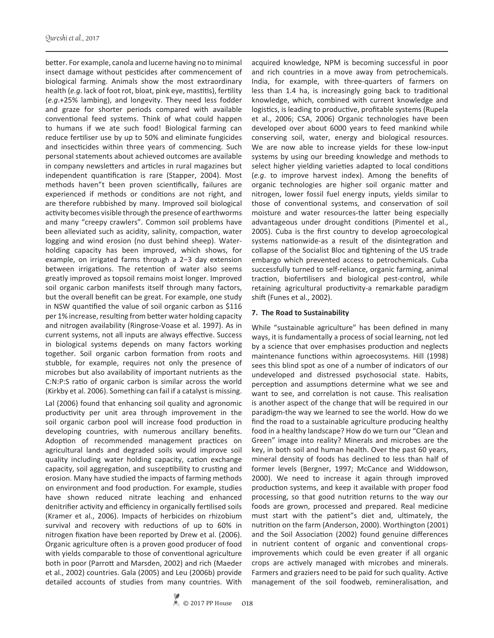better. For example, canola and lucerne having no to minimal insect damage without pesticides after commencement of biological farming. Animals show the most extraordinary health (*e.g*. lack of foot rot, bloat, pink eye, mastitis), fertility (*e.g*.+25% lambing), and longevity. They need less fodder and graze for shorter periods compared with available conventional feed systems. Think of what could happen to humans if we ate such food! Biological farming can reduce fertiliser use by up to 50% and eliminate fungicides and insecticides within three years of commencing. Such personal statements about achieved outcomes are available in company newsletters and articles in rural magazines but independent quantification is rare (Stapper, 2004). Most methods haven"t been proven scientifically, failures are experienced if methods or conditions are not right, and are therefore rubbished by many. Improved soil biological activity becomes visible through the presence of earthworms and many "creepy crawlers". Common soil problems have been alleviated such as acidity, salinity, compaction, water logging and wind erosion (no dust behind sheep). Waterholding capacity has been improved, which shows, for example, on irrigated farms through a 2−3 day extension between irrigations. The retention of water also seems greatly improved as topsoil remains moist longer. Improved soil organic carbon manifests itself through many factors, but the overall benefit can be great. For example, one study in NSW quantified the value of soil organic carbon as \$116 per 1% increase, resulting from better water holding capacity and nitrogen availability (Ringrose-Voase et al. 1997). As in current systems, not all inputs are always effective. Success in biological systems depends on many factors working together. Soil organic carbon formation from roots and stubble, for example, requires not only the presence of microbes but also availability of important nutrients as the C:N:P:S ratio of organic carbon is similar across the world (Kirkby et al. 2006). Something can fail if a catalyst is missing.

Lal (2006) found that enhancing soil quality and agronomic productivity per unit area through improvement in the soil organic carbon pool will increase food production in developing countries, with numerous ancillary benefits. Adoption of recommended management practices on agricultural lands and degraded soils would improve soil quality including water holding capacity, cation exchange capacity, soil aggregation, and susceptibility to crusting and erosion. Many have studied the impacts of farming methods on environment and food production. For example, studies have shown reduced nitrate leaching and enhanced denitrifier activity and efficiency in organically fertilised soils (Kramer et al., 2006). Impacts of herbicides on rhizobium survival and recovery with reductions of up to 60% in nitrogen fixation have been reported by Drew et al. (2006). Organic agriculture often is a proven good producer of food with yields comparable to those of conventional agriculture both in poor (Parrott and Marsden, 2002) and rich (Maeder et al., 2002) countries. Gala (2005) and Leu (2006b) provide detailed accounts of studies from many countries. With

and rich countries in a move away from petrochemicals. India, for example, with three-quarters of farmers on less than 1.4 ha, is increasingly going back to traditional knowledge, which, combined with current knowledge and logistics, is leading to productive, profitable systems (Rupela et al., 2006; CSA, 2006) Organic technologies have been developed over about 6000 years to feed mankind while conserving soil, water, energy and biological resources. We are now able to increase yields for these low-input systems by using our breeding knowledge and methods to select higher yielding varieties adapted to local conditions (*e.g*. to improve harvest index). Among the benefits of organic technologies are higher soil organic matter and nitrogen, lower fossil fuel energy inputs, yields similar to those of conventional systems, and conservation of soil moisture and water resources-the latter being especially advantageous under drought conditions (Pimentel et al., 2005). Cuba is the first country to develop agroecological systems nationwide-as a result of the disintegration and collapse of the Socialist Bloc and tightening of the US trade embargo which prevented access to petrochemicals. Cuba successfully turned to self-reliance, organic farming, animal traction, biofertilisers and biological pest-control, while retaining agricultural productivity-a remarkable paradigm shift (Funes et al., 2002).

acquired knowledge, NPM is becoming successful in poor

## **7. The Road to Sustainability**

ways, it is fundamentally a process of social learning, not led by a science that over emphasises production and neglects maintenance functions within agroecosystems. Hill (1998) sees this blind spot as one of a number of indicators of our undeveloped and distressed psychosocial state. Habits, perception and assumptions determine what we see and want to see, and correlation is not cause. This realisation is another aspect of the change that will be required in our paradigm-the way we learned to see the world. How do we find the road to a sustainable agriculture producing healthy food in a healthy landscape? How do we turn our "Clean and Green" image into reality? Minerals and microbes are the key, in both soil and human health. Over the past 60 years, mineral density of foods has declined to less than half of former levels (Bergner, 1997; McCance and Widdowson, 2000). We need to increase it again through improved production systems, and keep it available with proper food processing, so that good nutrition returns to the way our foods are grown, processed and prepared. Real medicine must start with the patient"s diet and, ultimately, the nutrition on the farm (Anderson, 2000). Worthington (2001) and the Soil Association (2002) found genuine differences in nutrient content of organic and conventional cropsimprovements which could be even greater if all organic crops are actively managed with microbes and minerals. Farmers and graziers need to be paid for such quality. Active management of the soil foodweb, remineralisation, and

While "sustainable agriculture" has been defined in many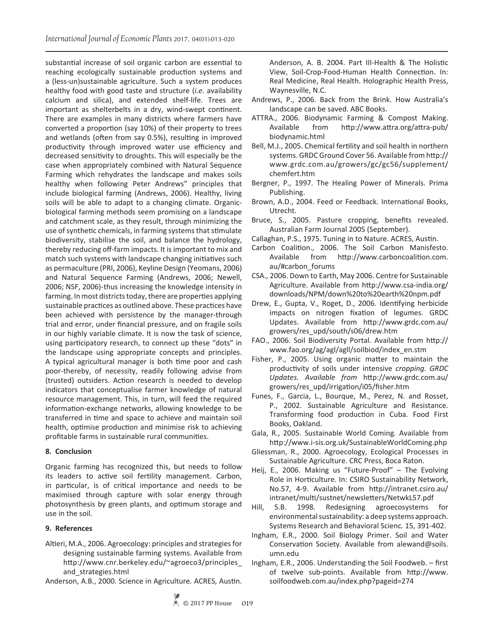substantial increase of soil organic carbon are essential to reaching ecologically sustainable production systems and a (less-un)sustainable agriculture. Such a system produces healthy food with good taste and structure (*i.e.* availability calcium and silica), and extended shelf-life. Trees are important as shelterbelts in a dry, wind-swept continent. There are examples in many districts where farmers have converted a proportion (say 10%) of their property to trees and wetlands (often from say 0.5%), resulting in improved productivity through improved water use efficiency and decreased sensitivity to droughts. This will especially be the case when appropriately combined with Natural Sequence Farming which rehydrates the landscape and makes soils healthy when following Peter Andrews" principles that include biological farming (Andrews, 2006). Healthy, living soils will be able to adapt to a changing climate. Organicbiological farming methods seem promising on a landscape and catchment scale, as they result, through minimizing the use of synthetic chemicals, in farming systems that stimulate biodiversity, stabilise the soil, and balance the hydrology, thereby reducing off-farm impacts. It is important to mix and match such systems with landscape changing initiatives such as permaculture (PRI, 2006), Keyline Design (Yeomans, 2006) and Natural Sequence Farming (Andrews, 2006; Newell, 2006; NSF, 2006)-thus increasing the knowledge intensity in farming. In most districts today, there are properties applying sustainable practices as outlined above. These practices have been achieved with persistence by the manager-through trial and error, under financial pressure, and on fragile soils in our highly variable climate. It is now the task of science, using participatory research, to connect up these "dots" in the landscape using appropriate concepts and principles. A typical agricultural manager is both time poor and cash poor-thereby, of necessity, readily following advise from (trusted) outsiders. Action research is needed to develop indicators that conceptualise farmer knowledge of natural resource management. This, in turn, will feed the required information-exchange networks, allowing knowledge to be transferred in time and space to achieve and maintain soil health, optimise production and minimise risk to achieving profitable farms in sustainable rural communities.

## **8. Conclusion**

Organic farming has recognized this, but needs to follow its leaders to active soil fertility management. Carbon, in particular, is of critical importance and needs to be maximised through capture with solar energy through photosynthesis by green plants, and optimum storage and use in the soil.

## **9. References**

- Altieri, M.A., 2006. Agroecology: principles and strategies for designing sustainable farming systems. Available from http://www.cnr.berkeley.edu/~agroeco3/principles\_ and\_strategies.html
- Anderson, A.B., 2000. Science in Agriculture*.* ACRES, Austin.

Anderson, A. B. 2004. Part III-Health & The Holistic View, Soil-Crop-Food-Human Health Connection. In: Real Medicine, Real Health. Holographic Health Press, Waynesville, N.C.

- Andrews, P., 2006. Back from the Brink. How Australia's landscape can be saved*.* ABC Books.
- ATTRA., 2006. Biodynamic Farming & Compost Making. Available from http://www.attra.org/attra-pub/ biodynamic.html
- Bell, M.J., 2005. Chemical fertility and soil health in northern systems. GRDC Ground Cover 56. Available from http:// www.grdc.com.au/growers/gc/gc56/supplement/ chemfert.htm
- Bergner, P., 1997. The Healing Power of Minerals. Prima Publishing.
- Brown, A.D., 2004. Feed or Feedback. International Books, Utrecht.
- Bruce, S., 2005. Pasture cropping, benefits revealed. Australian Farm Journal 2005 (September).
- Callaghan, P.S., 1975. Tuning in to Nature. ACRES, Austin.
- Carbon Coalition., 2006. The Soil Carbon Manisfesto. Available from http://www.carboncoalition.com. au/#carbon\_forums
- CSA., 2006. Down to Earth, May 2006. Centre for Sustainable Agriculture. Available from http://www.csa-india.org/ downloads/NPM/down%20to%20earth%20npm.pdf
- Drew, E., Gupta, V., Roget, D., 2006. Identifying herbicide impacts on nitrogen fixation of legumes. GRDC Updates. Available from http://www.grdc.com.au/ growers/res\_upd/south/s06/drew.htm
- FAO., 2006. Soil Biodiversity Portal*.* Available from http:// www.fao.org/ag/agl/agll/soilbiod/index\_en.stm
- Fisher, P., 2005. Using organic matter to maintain the productivity of soils under intensive *cropping. GRDC Updates. Available from* http://www.grdc.com.au/ growers/res\_upd/irrigation/i05/fisher.htm
- Funes, F., Garcia, L., Bourque, M., Perez, N. and Rosset, P., 2002. Sustainable Agriculture and Resistance. Transforming food production in Cuba*.* Food First Books, Oakland.
- Gala, R., 2005. Sustainable World Coming*.* Available from http://www.i-sis.org.uk/SustainableWorldComing.php
- Gliessman, R., 2000. Agroecology, Ecological Processes in Sustainable Agriculture. CRC Press, Boca Raton.
- Heij, E., 2006. Making us "Future-Proof" The Evolving Role in Horticulture. In: CSIRO Sustainability Network, No.57, 4-9. Available from http://intranet.csiro.au/ intranet/multi/sustnet/newsletters/NetwkL57.pdf
- Hill, S.B. 1998. Redesigning agroecosystems for environmental sustainability: a deep systems approach. Systems Research and Behavioral Scienc*.* 15, 391-402.
- Ingham, E.R., 2000. Soil Biology Primer. Soil and Water Conservation Society. Available from alewand@soils. umn.edu
- Ingham, E.R., 2006. Understanding the Soil Foodweb. first of twelve sub-points. Available from http://www. soilfoodweb.com.au/index.php?pageid=274